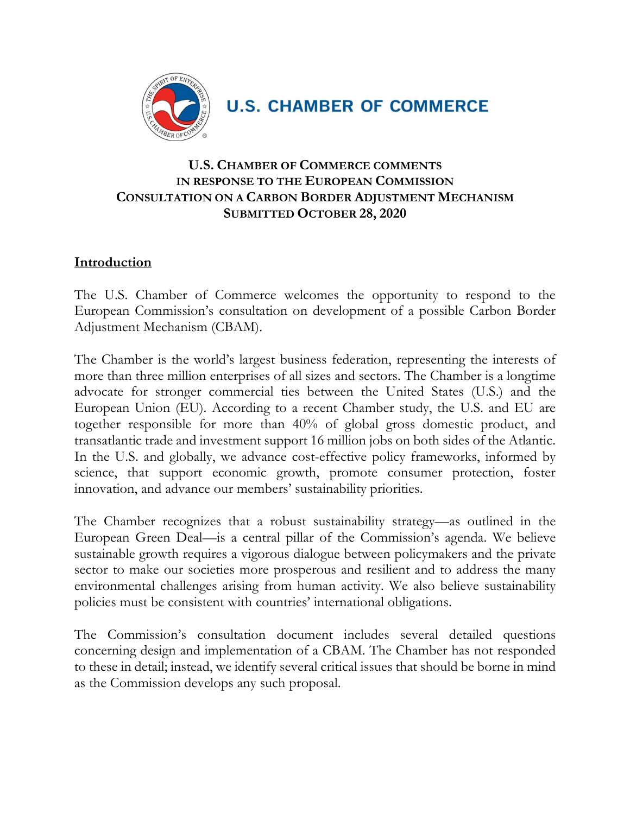

**U.S. CHAMBER OF COMMERCE** 

### **U.S. CHAMBER OF COMMERCE COMMENTS IN RESPONSE TO THE EUROPEAN COMMISSION CONSULTATION ON A CARBON BORDER ADJUSTMENT MECHANISM SUBMITTED OCTOBER 28, 2020**

#### **Introduction**

The U.S. Chamber of Commerce welcomes the opportunity to respond to the European Commission's consultation on development of a possible Carbon Border Adjustment Mechanism (CBAM).

The Chamber is the world's largest business federation, representing the interests of more than three million enterprises of all sizes and sectors. The Chamber is a longtime advocate for stronger commercial ties between the United States (U.S.) and the European Union (EU). According to a recent Chamber study, the U.S. and EU are together responsible for more than 40% of global gross domestic product, and transatlantic trade and investment support 16 million jobs on both sides of the Atlantic. In the U.S. and globally, we advance cost-effective policy frameworks, informed by science, that support economic growth, promote consumer protection, foster innovation, and advance our members' sustainability priorities.

The Chamber recognizes that a robust sustainability strategy—as outlined in the European Green Deal—is a central pillar of the Commission's agenda. We believe sustainable growth requires a vigorous dialogue between policymakers and the private sector to make our societies more prosperous and resilient and to address the many environmental challenges arising from human activity. We also believe sustainability policies must be consistent with countries' international obligations.

The Commission's consultation document includes several detailed questions concerning design and implementation of a CBAM. The Chamber has not responded to these in detail; instead, we identify several critical issues that should be borne in mind as the Commission develops any such proposal.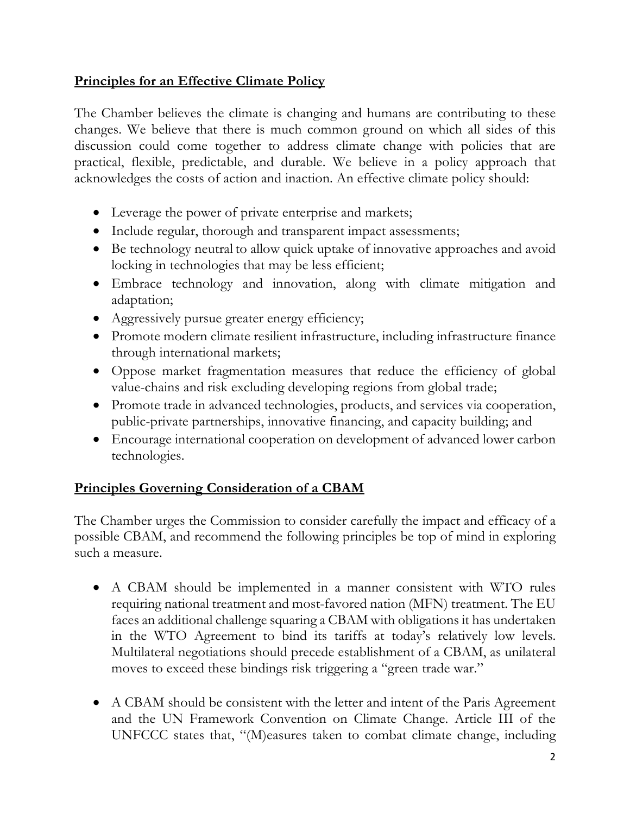# **Principles for an Effective Climate Policy**

The Chamber believes the climate is changing and humans are contributing to these changes. We believe that there is much common ground on which all sides of this discussion could come together to address climate change with policies that are practical, flexible, predictable, and durable. We believe in a policy approach that acknowledges the costs of action and inaction. An effective climate policy should:

- Leverage the power of private enterprise and markets;
- Include regular, thorough and transparent impact assessments;
- Be technology neutral to allow quick uptake of innovative approaches and avoid locking in technologies that may be less efficient;
- Embrace technology and innovation, along with climate mitigation and adaptation;
- Aggressively pursue greater energy efficiency;
- Promote modern climate resilient infrastructure, including infrastructure finance through international markets;
- Oppose market fragmentation measures that reduce the efficiency of global value-chains and risk excluding developing regions from global trade;
- Promote trade in advanced technologies, products, and services via cooperation, public-private partnerships, innovative financing, and capacity building; and
- Encourage international cooperation on development of advanced lower carbon technologies.

# **Principles Governing Consideration of a CBAM**

The Chamber urges the Commission to consider carefully the impact and efficacy of a possible CBAM, and recommend the following principles be top of mind in exploring such a measure.

- A CBAM should be implemented in a manner consistent with WTO rules requiring national treatment and most-favored nation (MFN) treatment. The EU faces an additional challenge squaring a CBAM with obligations it has undertaken in the WTO Agreement to bind its tariffs at today's relatively low levels. Multilateral negotiations should precede establishment of a CBAM, as unilateral moves to exceed these bindings risk triggering a "green trade war."
- A CBAM should be consistent with the letter and intent of the Paris Agreement and the UN Framework Convention on Climate Change. Article III of the UNFCCC states that, "(M)easures taken to combat climate change, including